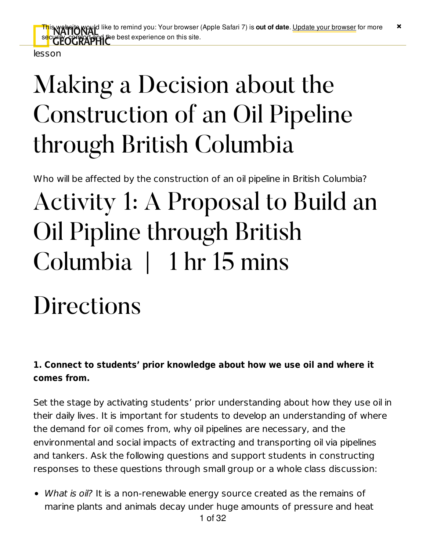lesson

## Making a Decision about the Construction of an Oil Pipeline through British Columbia

Who will be affected by the construction of an oil pipeline in British Columbia?

## Activity 1: A Proposal to Build an Oil Pipline through British Columbia | 1 hr 15 mins

## Directions

#### **1. Connect to students' prior knowledge about how we use oil and where it comes from.**

Set the stage by activating students' prior understanding about how they use oil in their daily lives. It is important for students to develop an understanding of where the demand for oil comes from, why oil pipelines are necessary, and the environmental and social impacts of extracting and transporting oil via pipelines and tankers. Ask the following questions and support students in constructing responses to these questions through small group or a whole class discussion:

• What is oil? It is a non-renewable energy source created as the remains of marine plants and animals decay under huge amounts of pressure and heat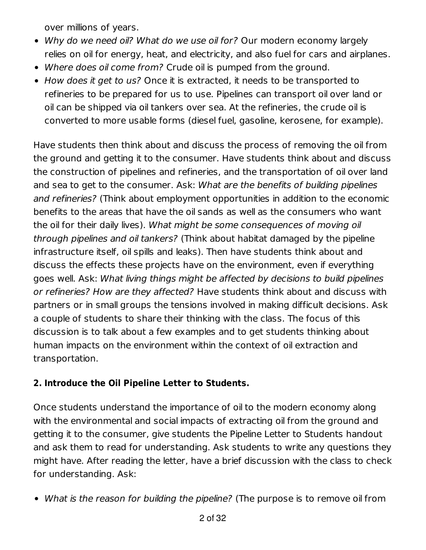over millions of years.

- Why do we need oil? What do we use oil for? Our modern economy largely relies on oil for energy, heat, and electricity, and also fuel for cars and airplanes.
- Where does oil come from? Crude oil is pumped from the ground.
- How does it get to us? Once it is extracted, it needs to be transported to refineries to be prepared for us to use. Pipelines can transport oil over land or oil can be shipped via oil tankers over sea. At the refineries, the crude oil is converted to more usable forms (diesel fuel, gasoline, kerosene, for example).

Have students then think about and discuss the process of removing the oil from the ground and getting it to the consumer. Have students think about and discuss the construction of pipelines and refineries, and the transportation of oil over land and sea to get to the consumer. Ask: What are the benefits of building pipelines and refineries? (Think about employment opportunities in addition to the economic benefits to the areas that have the oil sands as well as the consumers who want the oil for their daily lives). What might be some consequences of moving oil through pipelines and oil tankers? (Think about habitat damaged by the pipeline infrastructure itself, oil spills and leaks). Then have students think about and discuss the effects these projects have on the environment, even if everything goes well. Ask: What living things might be affected by decisions to build pipelines or refineries? How are they affected? Have students think about and discuss with partners or in small groups the tensions involved in making difficult decisions. Ask a couple of students to share their thinking with the class. The focus of this discussion is to talk about a few examples and to get students thinking about human impacts on the environment within the context of oil extraction and transportation.

#### **2. Introduce the Oil Pipeline Letter to Students.**

Once students understand the importance of oil to the modern economy along with the environmental and social impacts of extracting oil from the ground and getting it to the consumer, give students the Pipeline Letter to Students handout and ask them to read for understanding. Ask students to write any questions they might have. After reading the letter, have a brief discussion with the class to check for understanding. Ask:

• What is the reason for building the pipeline? (The purpose is to remove oil from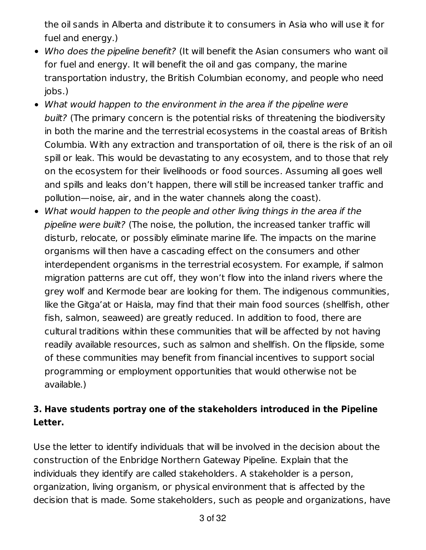the oil sands in Alberta and distribute it to consumers in Asia who will use it for fuel and energy.)

- Who does the pipeline benefit? (It will benefit the Asian consumers who want oil for fuel and energy. It will benefit the oil and gas company, the marine transportation industry, the British Columbian economy, and people who need jobs.)
- What would happen to the environment in the area if the pipeline were built? (The primary concern is the potential risks of threatening the biodiversity in both the marine and the terrestrial ecosystems in the coastal areas of British Columbia. With any extraction and transportation of oil, there is the risk of an oil spill or leak. This would be devastating to any ecosystem, and to those that rely on the ecosystem for their livelihoods or food sources. Assuming all goes well and spills and leaks don't happen, there will still be increased tanker traffic and pollution—noise, air, and in the water channels along the coast).
- What would happen to the people and other living things in the area if the pipeline were built? (The noise, the pollution, the increased tanker traffic will disturb, relocate, or possibly eliminate marine life. The impacts on the marine organisms will then have a cascading effect on the consumers and other interdependent organisms in the terrestrial ecosystem. For example, if salmon migration patterns are cut off, they won't flow into the inland rivers where the grey wolf and Kermode bear are looking for them. The indigenous communities, like the Gitga'at or Haisla, may find that their main food sources (shellfish, other fish, salmon, seaweed) are greatly reduced. In addition to food, there are cultural traditions within these communities that will be affected by not having readily available resources, such as salmon and shellfish. On the flipside, some of these communities may benefit from financial incentives to support social programming or employment opportunities that would otherwise not be available.)

#### **3. Have students portray one of the stakeholders introduced in the Pipeline Letter.**

Use the letter to identify individuals that will be involved in the decision about the construction of the Enbridge Northern Gateway Pipeline. Explain that the individuals they identify are called stakeholders. A stakeholder is a person, organization, living organism, or physical environment that is affected by the decision that is made. Some stakeholders, such as people and organizations, have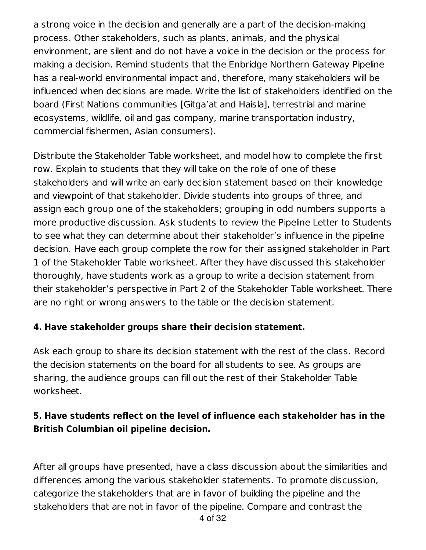a strong voice in the decision and generally are a part of the decision-making process. Other stakeholders, such as plants, animals, and the physical environment, are silent and do not have a voice in the decision or the process for making a decision. Remind students that the Enbridge Northern Gateway Pipeline has a real-world environmental impact and, therefore, many stakeholders will be influenced when decisions are made. Write the list of stakeholders identified on the board (First Nations communities [Gitga'at and Haisla], terrestrial and marine ecosystems, wildlife, oil and gas company, marine transportation industry, commercial fishermen, Asian consumers).

Distribute the Stakeholder Table worksheet, and model how to complete the first row. Explain to students that they will take on the role of one of these stakeholders and will write an early decision statement based on their knowledge and viewpoint of that stakeholder. Divide students into groups of three, and assign each group one of the stakeholders; grouping in odd numbers supports a more productive discussion. Ask students to review the Pipeline Letter to Students to see what they can determine about their stakeholder's influence in the pipeline decision. Have each group complete the row for their assigned stakeholder in Part 1 of the Stakeholder Table worksheet. After they have discussed this stakeholder thoroughly, have students work as a group to write a decision statement from their stakeholder's perspective in Part 2 of the Stakeholder Table worksheet. There are no right or wrong answers to the table or the decision statement.

#### **4. Have stakeholder groups share their decision statement.**

Ask each group to share its decision statement with the rest of the class. Record the decision statements on the board for all students to see. As groups are sharing, the audience groups can fill out the rest of their Stakeholder Table worksheet.

#### **5. Have students reflect on the level of influence each stakeholder has in the British Columbian oil pipeline decision.**

After all groups have presented, have a class discussion about the similarities and differences among the various stakeholder statements. To promote discussion, categorize the stakeholders that are in favor of building the pipeline and the stakeholders that are not in favor of the pipeline. Compare and contrast the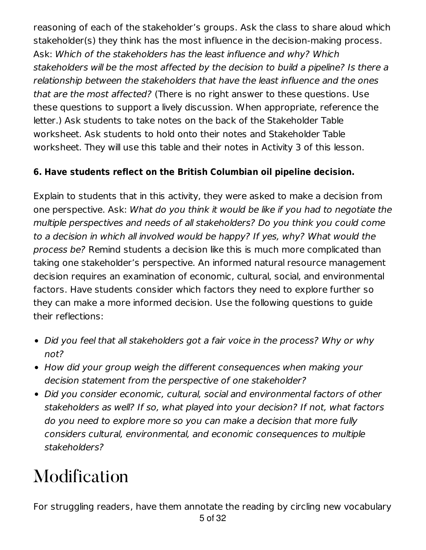reasoning of each of the stakeholder's groups. Ask the class to share aloud which stakeholder(s) they think has the most influence in the decision-making process. Ask: Which of the stakeholders has the least influence and why? Which stakeholders will be the most affected by the decision to build a pipeline? Is there a relationship between the stakeholders that have the least influence and the ones that are the most affected? (There is no right answer to these questions. Use these questions to support a lively discussion. When appropriate, reference the letter.) Ask students to take notes on the back of the Stakeholder Table worksheet. Ask students to hold onto their notes and Stakeholder Table worksheet. They will use this table and their notes in Activity 3 of this lesson.

#### **6. Have students reflect on the British Columbian oil pipeline decision.**

Explain to students that in this activity, they were asked to make a decision from one perspective. Ask: What do you think it would be like if you had to negotiate the multiple perspectives and needs of all stakeholders? Do you think you could come to a decision in which all involved would be happy? If yes, why? What would the process be? Remind students a decision like this is much more complicated than taking one stakeholder's perspective. An informed natural resource management decision requires an examination of economic, cultural, social, and environmental factors. Have students consider which factors they need to explore further so they can make a more informed decision. Use the following questions to guide their reflections:

- Did you feel that all stakeholders got a fair voice in the process? Why or why not?
- How did your group weigh the different consequences when making your decision statement from the perspective of one stakeholder?
- Did you consider economic, cultural, social and environmental factors of other stakeholders as well? If so, what played into your decision? If not, what factors do you need to explore more so you can make a decision that more fully considers cultural, environmental, and economic consequences to multiple stakeholders?

### Modification

5 of 32 For struggling readers, have them annotate the reading by circling new vocabulary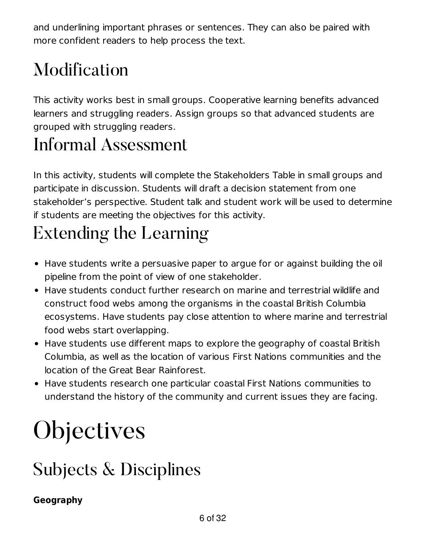and underlining important phrases or sentences. They can also be paired with more confident readers to help process the text.

### Modification

This activity works best in small groups. Cooperative learning benefits advanced learners and struggling readers. Assign groups so that advanced students are grouped with struggling readers.

#### Informal Assessment

In this activity, students will complete the Stakeholders Table in small groups and participate in discussion. Students will draft a decision statement from one stakeholder's perspective. Student talk and student work will be used to determine if students are meeting the objectives for this activity.

### Extending the Learning

- Have students write a persuasive paper to argue for or against building the oil pipeline from the point of view of one stakeholder.
- Have students conduct further research on marine and terrestrial wildlife and construct food webs among the organisms in the coastal British Columbia ecosystems. Have students pay close attention to where marine and terrestrial food webs start overlapping.
- Have students use different maps to explore the geography of coastal British Columbia, as well as the location of various First Nations communities and the location of the Great Bear Rainforest.
- Have students research one particular coastal First Nations communities to understand the history of the community and current issues they are facing.

## **Objectives**

### Subjects & Disciplines

#### **Geography**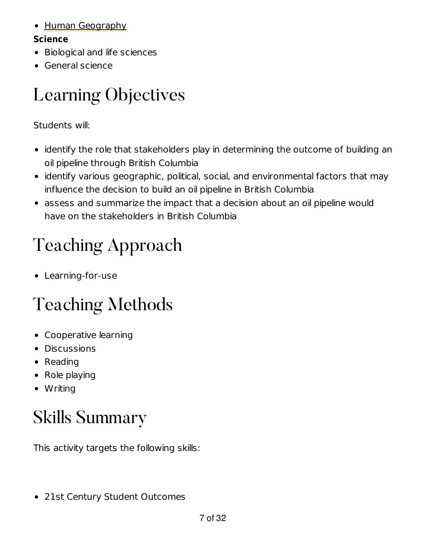#### • Human Geography

#### **Science**

- Biological and life sciences
- General science

### Learning Objectives

Students will:

- identify the role that stakeholders play in determining the outcome of building an oil pipeline through British Columbia
- identify various geographic, political, social, and environmental factors that may influence the decision to build an oil pipeline in British Columbia
- assess and summarize the impact that a decision about an oil pipeline would have on the stakeholders in British Columbia

### Teaching Approach

Learning-for-use

### Teaching Methods

- Cooperative learning
- **•** Discussions
- Reading
- Role playing
- Writing

### Skills Summary

This activity targets the following skills:

21st Century Student Outcomes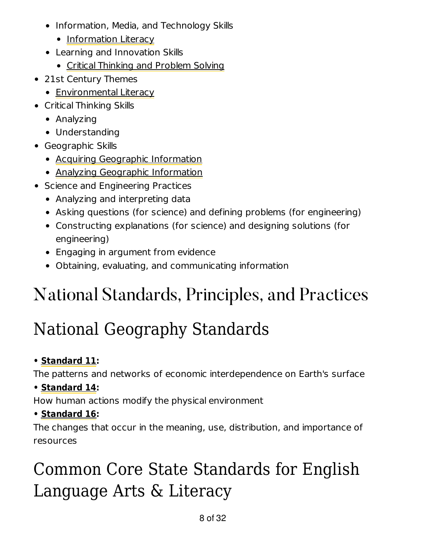- Information, Media, and Technology Skills
	- Information Literacy
- Learning and Innovation Skills
	- Critical Thinking and Problem Solving
- 21st Century Themes
	- Environmental Literacy
- Critical Thinking Skills
	- Analyzing
	- Understanding
- Geographic Skills
	- Acquiring Geographic Information
	- Analyzing Geographic Information
- Science and Engineering Practices
	- Analyzing and interpreting data
	- Asking questions (for science) and defining problems (for engineering)
	- Constructing explanations (for science) and designing solutions (for engineering)
	- Engaging in argument from evidence
	- Obtaining, evaluating, and communicating information

### National Standards, Principles, and Practices

### National Geography Standards

#### **• Standard 11:**

The patterns and networks of economic interdependence on Earth's surface

#### **• Standard 14:**

How human actions modify the physical environment

#### **• Standard 16:**

The changes that occur in the meaning, use, distribution, and importance of resources

### Common Core State Standards for English Language Arts & Literacy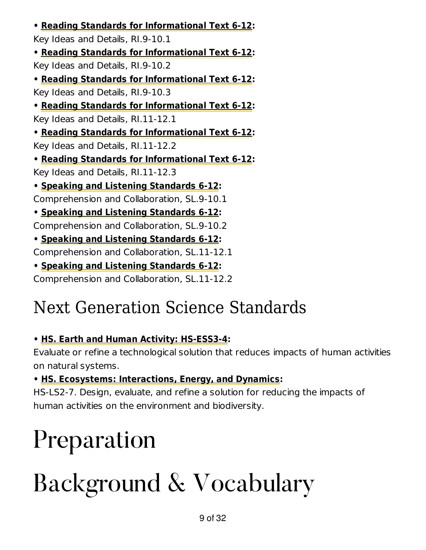**• Reading Standards for Informational Text 6-12:** Key Ideas and Details, RI.9-10.1 **• Reading Standards for Informational Text 6-12:** Key Ideas and Details, RI.9-10.2 **• Reading Standards for Informational Text 6-12:** Key Ideas and Details, RI.9-10.3 **• Reading Standards for Informational Text 6-12:** Key Ideas and Details, RI.11-12.1 **• Reading Standards for Informational Text 6-12:** Key Ideas and Details, RI.11-12.2 **• Reading Standards for Informational Text 6-12:** Key Ideas and Details, RI.11-12.3 **• Speaking and Listening Standards 6-12:** Comprehension and Collaboration, SL.9-10.1 **• Speaking and Listening Standards 6-12:** Comprehension and Collaboration, SL.9-10.2 **• Speaking and Listening Standards 6-12:** Comprehension and Collaboration, SL.11-12.1

**• Speaking and Listening Standards 6-12:**

Comprehension and Collaboration, SL.11-12.2

### Next Generation Science Standards

#### **• HS. Earth and Human Activity: HS-ESS3-4:**

Evaluate or refine a technological solution that reduces impacts of human activities on natural systems.

**• HS. Ecosystems: Interactions, Energy, and Dynamics:**

HS-LS2-7. Design, evaluate, and refine a solution for reducing the impacts of human activities on the environment and biodiversity.

## Preparation

## Background & Vocabulary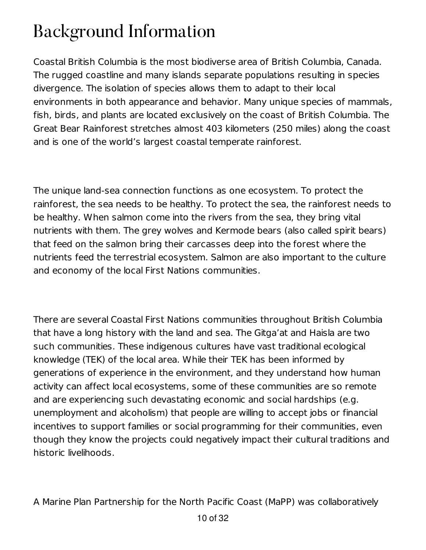### Background Information

Coastal British Columbia is the most biodiverse area of British Columbia, Canada. The rugged coastline and many islands separate populations resulting in species divergence. The isolation of species allows them to adapt to their local environments in both appearance and behavior. Many unique species of mammals, fish, birds, and plants are located exclusively on the coast of British Columbia. The Great Bear Rainforest stretches almost 403 kilometers (250 miles) along the coast and is one of the world's largest coastal temperate rainforest.

The unique land-sea connection functions as one ecosystem. To protect the rainforest, the sea needs to be healthy. To protect the sea, the rainforest needs to be healthy. When salmon come into the rivers from the sea, they bring vital nutrients with them. The grey wolves and Kermode bears (also called spirit bears) that feed on the salmon bring their carcasses deep into the forest where the nutrients feed the terrestrial ecosystem. Salmon are also important to the culture and economy of the local First Nations communities.

There are several Coastal First Nations communities throughout British Columbia that have a long history with the land and sea. The Gitga'at and Haisla are two such communities. These indigenous cultures have vast traditional ecological knowledge (TEK) of the local area. While their TEK has been informed by generations of experience in the environment, and they understand how human activity can affect local ecosystems, some of these communities are so remote and are experiencing such devastating economic and social hardships (e.g. unemployment and alcoholism) that people are willing to accept jobs or financial incentives to support families or social programming for their communities, even though they know the projects could negatively impact their cultural traditions and historic livelihoods.

A Marine Plan Partnership for the North Pacific Coast (MaPP) was collaboratively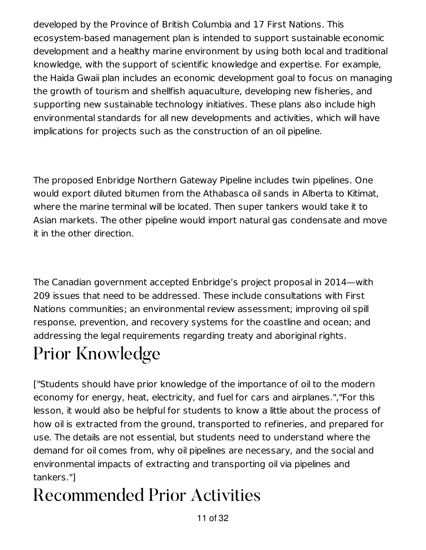developed by the Province of British Columbia and 17 First Nations. This ecosystem-based management plan is intended to support sustainable economic development and a healthy marine environment by using both local and traditional knowledge, with the support of scientific knowledge and expertise. For example, the Haida Gwaii plan includes an economic development goal to focus on managing the growth of tourism and shellfish aquaculture, developing new fisheries, and supporting new sustainable technology initiatives. These plans also include high environmental standards for all new developments and activities, which will have implications for projects such as the construction of an oil pipeline.

The proposed Enbridge Northern Gateway Pipeline includes twin pipelines. One would export diluted bitumen from the Athabasca oil sands in Alberta to Kitimat, where the marine terminal will be located. Then super tankers would take it to Asian markets. The other pipeline would import natural gas condensate and move it in the other direction.

The Canadian government accepted Enbridge's project proposal in 2014—with 209 issues that need to be addressed. These include consultations with First Nations communities; an environmental review assessment; improving oil spill response, prevention, and recovery systems for the coastline and ocean; and addressing the legal requirements regarding treaty and aboriginal rights.

### Prior Knowledge

["Students should have prior knowledge of the importance of oil to the modern economy for energy, heat, electricity, and fuel for cars and airplanes.","For this lesson, it would also be helpful for students to know a little about the process of how oil is extracted from the ground, transported to refineries, and prepared for use. The details are not essential, but students need to understand where the demand for oil comes from, why oil pipelines are necessary, and the social and environmental impacts of extracting and transporting oil via pipelines and tankers."]

### Recommended Prior Activities

11 of 32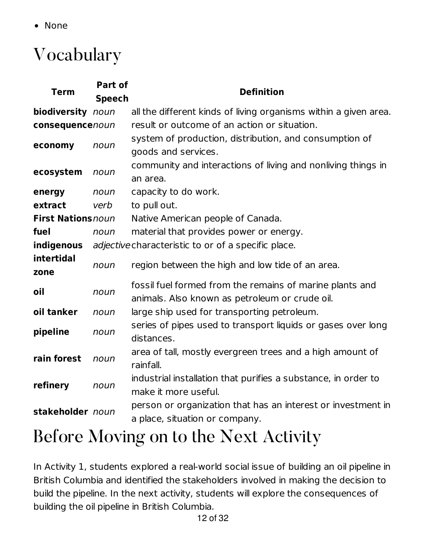• None

### Vocabulary

| <b>Term</b>               | Part of<br><b>Speech</b> | <b>Definition</b>                                                                                          |
|---------------------------|--------------------------|------------------------------------------------------------------------------------------------------------|
| biodiversity noun         |                          | all the different kinds of living organisms within a given area.                                           |
| consequencenoun           |                          | result or outcome of an action or situation.                                                               |
| economy                   | noun                     | system of production, distribution, and consumption of<br>goods and services.                              |
| ecosystem                 | noun                     | community and interactions of living and nonliving things in<br>an area.                                   |
| energy                    | noun                     | capacity to do work.                                                                                       |
| extract                   | verb                     | to pull out.                                                                                               |
| <b>First Nations noun</b> |                          | Native American people of Canada.                                                                          |
| fuel                      | noun                     | material that provides power or energy.                                                                    |
| indigenous                |                          | adjective characteristic to or of a specific place.                                                        |
| intertidal<br>zone        | noun                     | region between the high and low tide of an area.                                                           |
| oil                       | noun                     | fossil fuel formed from the remains of marine plants and<br>animals. Also known as petroleum or crude oil. |
| oil tanker                | noun                     | large ship used for transporting petroleum.                                                                |
| pipeline                  | noun                     | series of pipes used to transport liquids or gases over long<br>distances.                                 |
| rain forest               | noun                     | area of tall, mostly evergreen trees and a high amount of<br>rainfall.                                     |
| refinery                  | noun                     | industrial installation that purifies a substance, in order to<br>make it more useful.                     |
| stakeholder noun          |                          | person or organization that has an interest or investment in<br>a place, situation or company.             |

#### Before Moving on to the Next Activity

In Activity 1, students explored a real-world social issue of building an oil pipeline in British Columbia and identified the stakeholders involved in making the decision to build the pipeline. In the next activity, students will explore the consequences of building the oil pipeline in British Columbia.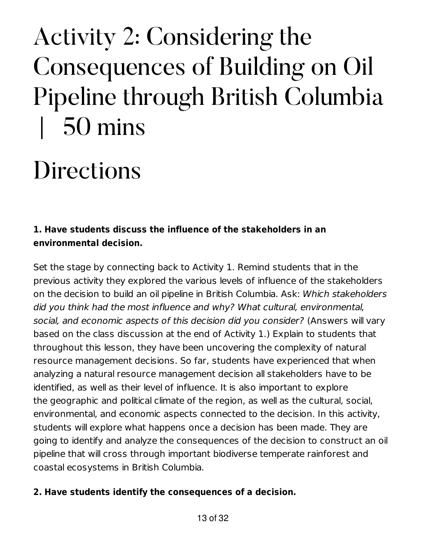## Activity 2: Considering the Consequences of Building on Oil Pipeline through British Columbia | 50 mins

## **Directions**

#### **1. Have students discuss the influence of the stakeholders in an environmental decision.**

Set the stage by connecting back to Activity 1. Remind students that in the previous activity they explored the various levels of influence of the stakeholders on the decision to build an oil pipeline in British Columbia. Ask: Which stakeholders did you think had the most influence and why? What cultural, environmental, social, and economic aspects of this decision did you consider? (Answers will vary based on the class discussion at the end of Activity 1.) Explain to students that throughout this lesson, they have been uncovering the complexity of natural resource management decisions. So far, students have experienced that when analyzing a natural resource management decision all stakeholders have to be identified, as well as their level of influence. It is also important to explore the geographic and political climate of the region, as well as the cultural, social, environmental, and economic aspects connected to the decision. In this activity, students will explore what happens once a decision has been made. They are going to identify and analyze the consequences of the decision to construct an oil pipeline that will cross through important biodiverse temperate rainforest and coastal ecosystems in British Columbia.

#### **2. Have students identify the consequences of a decision.**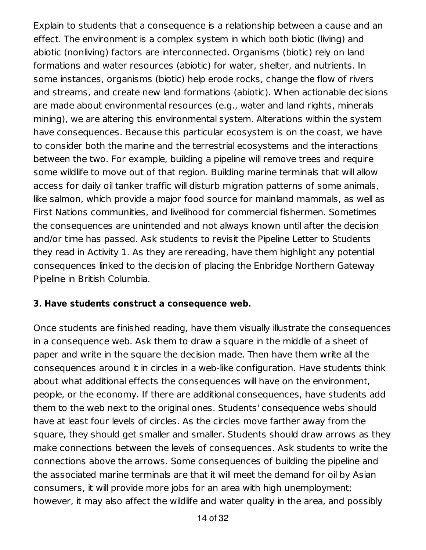Explain to students that a consequence is a relationship between a cause and an effect. The environment is a complex system in which both biotic (living) and abiotic (nonliving) factors are interconnected. Organisms (biotic) rely on land formations and water resources (abiotic) for water, shelter, and nutrients. In some instances, organisms (biotic) help erode rocks, change the flow of rivers and streams, and create new land formations (abiotic). When actionable decisions are made about environmental resources (e.g., water and land rights, minerals mining), we are altering this environmental system. Alterations within the system have consequences. Because this particular ecosystem is on the coast, we have to consider both the marine and the terrestrial ecosystems and the interactions between the two. For example, building a pipeline will remove trees and require some wildlife to move out of that region. Building marine terminals that will allow access for daily oil tanker traffic will disturb migration patterns of some animals, like salmon, which provide a major food source for mainland mammals, as well as First Nations communities, and livelihood for commercial fishermen. Sometimes the consequences are unintended and not always known until after the decision and/or time has passed. Ask students to revisit the Pipeline Letter to Students they read in Activity 1. As they are rereading, have them highlight any potential consequences linked to the decision of placing the Enbridge Northern Gateway Pipeline in British Columbia.

#### **3. Have students construct a consequence web.**

Once students are finished reading, have them visually illustrate the consequences in a consequence web. Ask them to draw a square in the middle of a sheet of paper and write in the square the decision made. Then have them write all the consequences around it in circles in a web-like configuration. Have students think about what additional effects the consequences will have on the environment, people, or the economy. If there are additional consequences, have students add them to the web next to the original ones. Students' consequence webs should have at least four levels of circles. As the circles move farther away from the square, they should get smaller and smaller. Students should draw arrows as they make connections between the levels of consequences. Ask students to write the connections above the arrows. Some consequences of building the pipeline and the associated marine terminals are that it will meet the demand for oil by Asian consumers, it will provide more jobs for an area with high unemployment; however, it may also affect the wildlife and water quality in the area, and possibly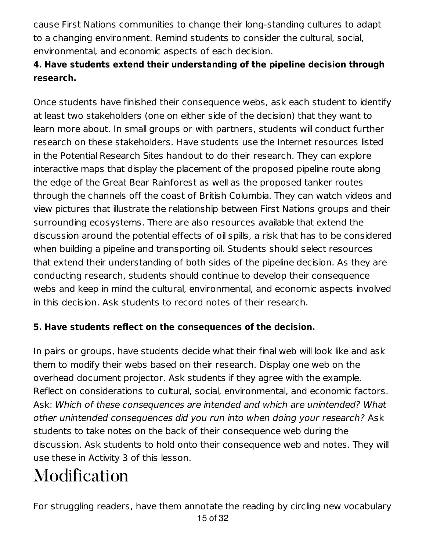cause First Nations communities to change their long-standing cultures to adapt to a changing environment. Remind students to consider the cultural, social, environmental, and economic aspects of each decision.

#### **4. Have students extend their understanding of the pipeline decision through research.**

Once students have finished their consequence webs, ask each student to identify at least two stakeholders (one on either side of the decision) that they want to learn more about. In small groups or with partners, students will conduct further research on these stakeholders. Have students use the Internet resources listed in the Potential Research Sites handout to do their research. They can explore interactive maps that display the placement of the proposed pipeline route along the edge of the Great Bear Rainforest as well as the proposed tanker routes through the channels off the coast of British Columbia. They can watch videos and view pictures that illustrate the relationship between First Nations groups and their surrounding ecosystems. There are also resources available that extend the discussion around the potential effects of oil spills, a risk that has to be considered when building a pipeline and transporting oil. Students should select resources that extend their understanding of both sides of the pipeline decision. As they are conducting research, students should continue to develop their consequence webs and keep in mind the cultural, environmental, and economic aspects involved in this decision. Ask students to record notes of their research.

#### **5. Have students reflect on the consequences of the decision.**

In pairs or groups, have students decide what their final web will look like and ask them to modify their webs based on their research. Display one web on the overhead document projector. Ask students if they agree with the example. Reflect on considerations to cultural, social, environmental, and economic factors. Ask: Which of these consequences are intended and which are unintended? What other unintended consequences did you run into when doing your research? Ask students to take notes on the back of their consequence web during the discussion. Ask students to hold onto their consequence web and notes. They will use these in Activity 3 of this lesson.

### Modification

For struggling readers, have them annotate the reading by circling new vocabulary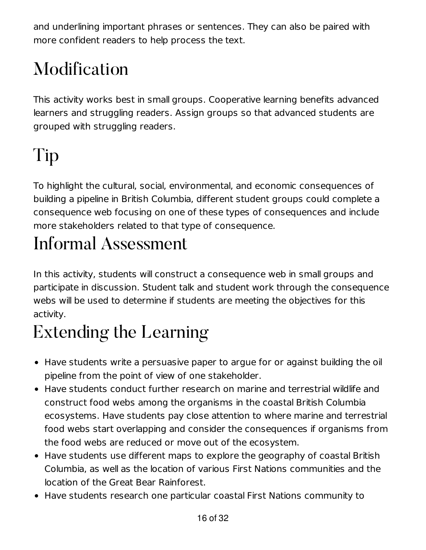and underlining important phrases or sentences. They can also be paired with more confident readers to help process the text.

### Modification

This activity works best in small groups. Cooperative learning benefits advanced learners and struggling readers. Assign groups so that advanced students are grouped with struggling readers.

### Tip

To highlight the cultural, social, environmental, and economic consequences of building a pipeline in British Columbia, different student groups could complete a consequence web focusing on one of these types of consequences and include more stakeholders related to that type of consequence.

### Informal Assessment

In this activity, students will construct a consequence web in small groups and participate in discussion. Student talk and student work through the consequence webs will be used to determine if students are meeting the objectives for this activity.

### Extending the Learning

- Have students write a persuasive paper to argue for or against building the oil pipeline from the point of view of one stakeholder.
- Have students conduct further research on marine and terrestrial wildlife and construct food webs among the organisms in the coastal British Columbia ecosystems. Have students pay close attention to where marine and terrestrial food webs start overlapping and consider the consequences if organisms from the food webs are reduced or move out of the ecosystem.
- Have students use different maps to explore the geography of coastal British Columbia, as well as the location of various First Nations communities and the location of the Great Bear Rainforest.
- Have students research one particular coastal First Nations community to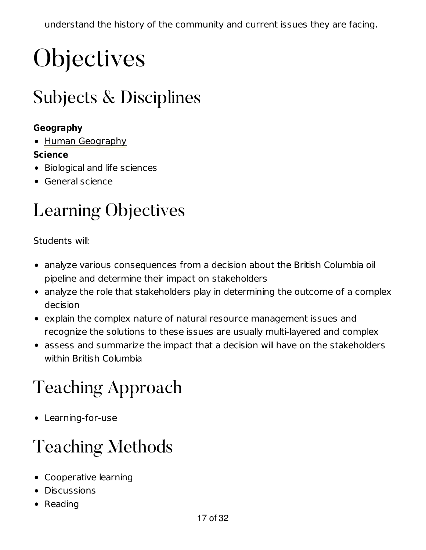## **Objectives**

### Subjects & Disciplines

#### **Geography**

• Human Geography

#### **Science**

- Biological and life sciences
- General science

### Learning Objectives

Students will:

- analyze various consequences from a decision about the British Columbia oil pipeline and determine their impact on stakeholders
- analyze the role that stakeholders play in determining the outcome of a complex decision
- explain the complex nature of natural resource management issues and recognize the solutions to these issues are usually multi-layered and complex
- assess and summarize the impact that a decision will have on the stakeholders within British Columbia

### Teaching Approach

Learning-for-use

### Teaching Methods

- Cooperative learning
- **•** Discussions
- Reading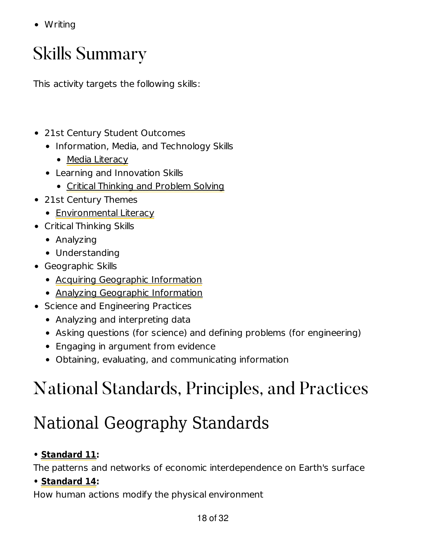• Writing

#### Skills Summary

This activity targets the following skills:

- 21st Century Student Outcomes
	- Information, Media, and Technology Skills
		- Media Literacy
	- Learning and Innovation Skills
		- Critical Thinking and Problem Solving
- 21st Century Themes
	- Environmental Literacy
- Critical Thinking Skills
	- Analyzing
	- Understanding
- Geographic Skills
	- Acquiring Geographic Information
	- Analyzing Geographic Information
- Science and Engineering Practices
	- Analyzing and interpreting data
	- Asking questions (for science) and defining problems (for engineering)
	- Engaging in argument from evidence
	- Obtaining, evaluating, and communicating information

### National Standards, Principles, and Practices

### National Geography Standards

#### **• Standard 11:**

The patterns and networks of economic interdependence on Earth's surface

#### **• Standard 14:**

How human actions modify the physical environment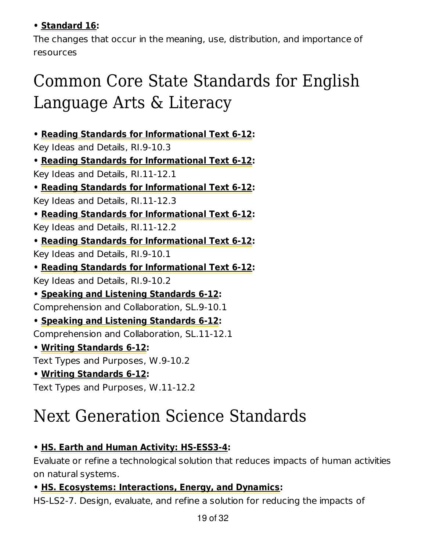#### **• Standard 16:**

The changes that occur in the meaning, use, distribution, and importance of resources

#### Common Core State Standards for English Language Arts & Literacy

**• Reading Standards for Informational Text 6-12:**

Key Ideas and Details, RI.9-10.3

**• Reading Standards for Informational Text 6-12:** Key Ideas and Details, RI.11-12.1

**• Reading Standards for Informational Text 6-12:**

Key Ideas and Details, RI.11-12.3

**• Reading Standards for Informational Text 6-12:**

Key Ideas and Details, RI.11-12.2

**• Reading Standards for Informational Text 6-12:**

Key Ideas and Details, RI.9-10.1

**• Reading Standards for Informational Text 6-12:**

Key Ideas and Details, RI.9-10.2

**• Speaking and Listening Standards 6-12:** Comprehension and Collaboration, SL.9-10.1

**• Speaking and Listening Standards 6-12:**

Comprehension and Collaboration, SL.11-12.1

**• Writing Standards 6-12:**

Text Types and Purposes, W.9-10.2

**• Writing Standards 6-12:**

Text Types and Purposes, W.11-12.2

#### Next Generation Science Standards

#### **• HS. Earth and Human Activity: HS-ESS3-4:**

Evaluate or refine a technological solution that reduces impacts of human activities on natural systems.

#### **• HS. Ecosystems: Interactions, Energy, and Dynamics:**

HS-LS2-7. Design, evaluate, and refine a solution for reducing the impacts of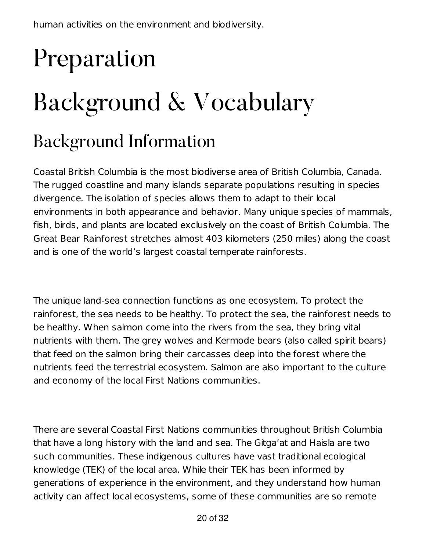# Preparation Background & Vocabulary

#### Background Information

Coastal British Columbia is the most biodiverse area of British Columbia, Canada. The rugged coastline and many islands separate populations resulting in species divergence. The isolation of species allows them to adapt to their local environments in both appearance and behavior. Many unique species of mammals, fish, birds, and plants are located exclusively on the coast of British Columbia. The Great Bear Rainforest stretches almost 403 kilometers (250 miles) along the coast and is one of the world's largest coastal temperate rainforests.

The unique land-sea connection functions as one ecosystem. To protect the rainforest, the sea needs to be healthy. To protect the sea, the rainforest needs to be healthy. When salmon come into the rivers from the sea, they bring vital nutrients with them. The grey wolves and Kermode bears (also called spirit bears) that feed on the salmon bring their carcasses deep into the forest where the nutrients feed the terrestrial ecosystem. Salmon are also important to the culture and economy of the local First Nations communities.

There are several Coastal First Nations communities throughout British Columbia that have a long history with the land and sea. The Gitga'at and Haisla are two such communities. These indigenous cultures have vast traditional ecological knowledge (TEK) of the local area. While their TEK has been informed by generations of experience in the environment, and they understand how human activity can affect local ecosystems, some of these communities are so remote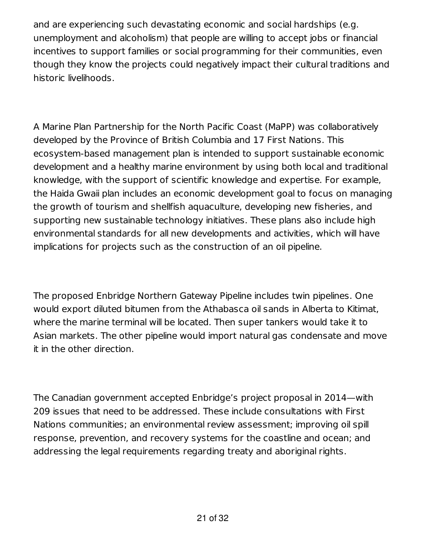and are experiencing such devastating economic and social hardships (e.g. unemployment and alcoholism) that people are willing to accept jobs or financial incentives to support families or social programming for their communities, even though they know the projects could negatively impact their cultural traditions and historic livelihoods.

A Marine Plan Partnership for the North Pacific Coast (MaPP) was collaboratively developed by the Province of British Columbia and 17 First Nations. This ecosystem-based management plan is intended to support sustainable economic development and a healthy marine environment by using both local and traditional knowledge, with the support of scientific knowledge and expertise. For example, the Haida Gwaii plan includes an economic development goal to focus on managing the growth of tourism and shellfish aquaculture, developing new fisheries, and supporting new sustainable technology initiatives. These plans also include high environmental standards for all new developments and activities, which will have implications for projects such as the construction of an oil pipeline.

The proposed Enbridge Northern Gateway Pipeline includes twin pipelines. One would export diluted bitumen from the Athabasca oil sands in Alberta to Kitimat, where the marine terminal will be located. Then super tankers would take it to Asian markets. The other pipeline would import natural gas condensate and move it in the other direction.

The Canadian government accepted Enbridge's project proposal in 2014—with 209 issues that need to be addressed. These include consultations with First Nations communities; an environmental review assessment; improving oil spill response, prevention, and recovery systems for the coastline and ocean; and addressing the legal requirements regarding treaty and aboriginal rights.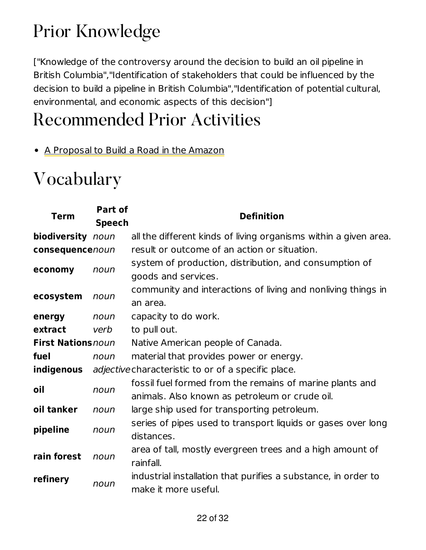### Prior Knowledge

["Knowledge of the controversy around the decision to build an oil pipeline in British Columbia","Identification of stakeholders that could be influenced by the decision to build a pipeline in British Columbia","Identification of potential cultural, environmental, and economic aspects of this decision"]

#### Recommended Prior Activities

• A Proposal to Build a Road in the Amazon

#### Vocabulary

| Term                      | Part of<br><b>Speech</b> | <b>Definition</b>                                                                                          |
|---------------------------|--------------------------|------------------------------------------------------------------------------------------------------------|
| biodiversity noun         |                          | all the different kinds of living organisms within a given area.                                           |
| consequencenoun           |                          | result or outcome of an action or situation.                                                               |
| economy                   | noun                     | system of production, distribution, and consumption of<br>goods and services.                              |
| ecosystem                 | noun                     | community and interactions of living and nonliving things in<br>an area.                                   |
| energy                    | noun                     | capacity to do work.                                                                                       |
| extract                   | verb                     | to pull out.                                                                                               |
| <b>First Nations</b> noun |                          | Native American people of Canada.                                                                          |
| fuel                      | noun                     | material that provides power or energy.                                                                    |
| indigenous                |                          | <i>adjective</i> characteristic to or of a specific place.                                                 |
| oil                       | noun                     | fossil fuel formed from the remains of marine plants and<br>animals. Also known as petroleum or crude oil. |
| oil tanker                | noun                     | large ship used for transporting petroleum.                                                                |
| pipeline                  | noun                     | series of pipes used to transport liquids or gases over long<br>distances.                                 |
| rain forest               | noun                     | area of tall, mostly evergreen trees and a high amount of<br>rainfall.                                     |
| refinery                  | noun                     | industrial installation that purifies a substance, in order to<br>make it more useful.                     |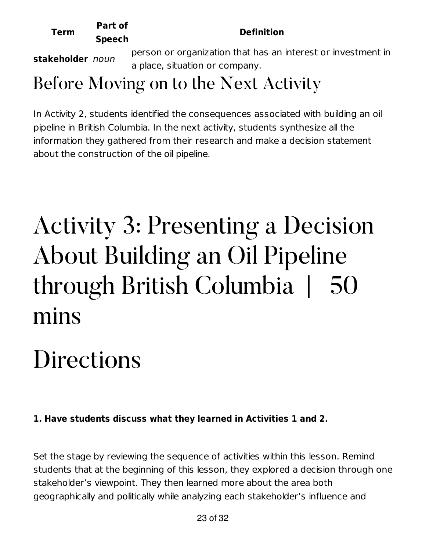| <b>Term</b>      | Part of<br><b>Speech</b> | <b>Definition</b>                                            |
|------------------|--------------------------|--------------------------------------------------------------|
| stakeholder noun |                          | person or organization that has an interest or investment in |
|                  |                          | a place, situation or company.                               |

#### Before Moving on to the Next Activity

In Activity 2, students identified the consequences associated with building an oil pipeline in British Columbia. In the next activity, students synthesize all the information they gathered from their research and make a decision statement about the construction of the oil pipeline.

## Activity 3: Presenting a Decision About Building an Oil Pipeline through British Columbia | 50 mins

## **Directions**

#### **1. Have students discuss what they learned in Activities 1 and 2.**

Set the stage by reviewing the sequence of activities within this lesson. Remind students that at the beginning of this lesson, they explored a decision through one stakeholder's viewpoint. They then learned more about the area both geographically and politically while analyzing each stakeholder's influence and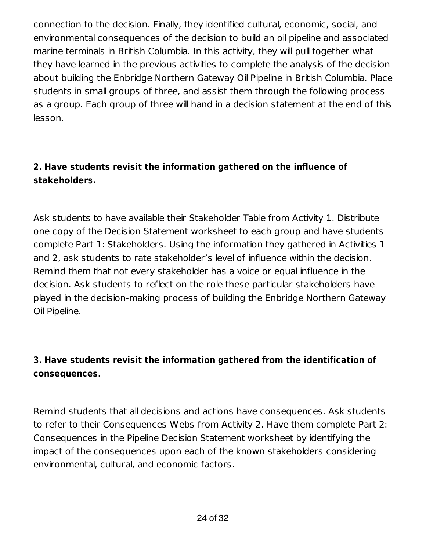connection to the decision. Finally, they identified cultural, economic, social, and environmental consequences of the decision to build an oil pipeline and associated marine terminals in British Columbia. In this activity, they will pull together what they have learned in the previous activities to complete the analysis of the decision about building the Enbridge Northern Gateway Oil Pipeline in British Columbia. Place students in small groups of three, and assist them through the following process as a group. Each group of three will hand in a decision statement at the end of this lesson.

#### **2. Have students revisit the information gathered on the influence of stakeholders.**

Ask students to have available their Stakeholder Table from Activity 1. Distribute one copy of the Decision Statement worksheet to each group and have students complete Part 1: Stakeholders. Using the information they gathered in Activities 1 and 2, ask students to rate stakeholder's level of influence within the decision. Remind them that not every stakeholder has a voice or equal influence in the decision. Ask students to reflect on the role these particular stakeholders have played in the decision-making process of building the Enbridge Northern Gateway Oil Pipeline.

#### **3. Have students revisit the information gathered from the identification of consequences.**

Remind students that all decisions and actions have consequences. Ask students to refer to their Consequences Webs from Activity 2. Have them complete Part 2: Consequences in the Pipeline Decision Statement worksheet by identifying the impact of the consequences upon each of the known stakeholders considering environmental, cultural, and economic factors.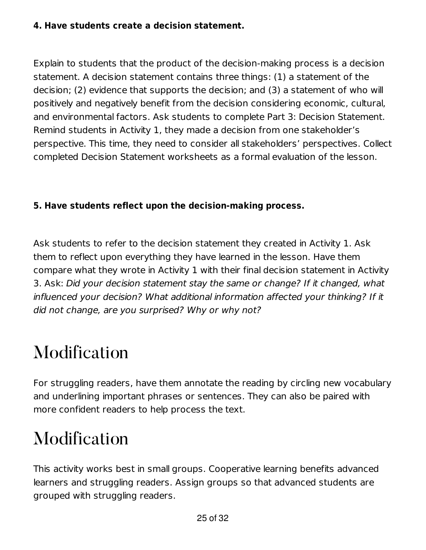#### **4. Have students create a decision statement.**

Explain to students that the product of the decision-making process is a decision statement. A decision statement contains three things: (1) a statement of the decision; (2) evidence that supports the decision; and (3) a statement of who will positively and negatively benefit from the decision considering economic, cultural, and environmental factors. Ask students to complete Part 3: Decision Statement. Remind students in Activity 1, they made a decision from one stakeholder's perspective. This time, they need to consider all stakeholders' perspectives. Collect completed Decision Statement worksheets as a formal evaluation of the lesson.

#### **5. Have students reflect upon the decision-making process.**

Ask students to refer to the decision statement they created in Activity 1. Ask them to reflect upon everything they have learned in the lesson. Have them compare what they wrote in Activity 1 with their final decision statement in Activity 3. Ask: Did your decision statement stay the same or change? If it changed, what influenced your decision? What additional information affected your thinking? If it did not change, are you surprised? Why or why not?

#### Modification

For struggling readers, have them annotate the reading by circling new vocabulary and underlining important phrases or sentences. They can also be paired with more confident readers to help process the text.

#### Modification

This activity works best in small groups. Cooperative learning benefits advanced learners and struggling readers. Assign groups so that advanced students are grouped with struggling readers.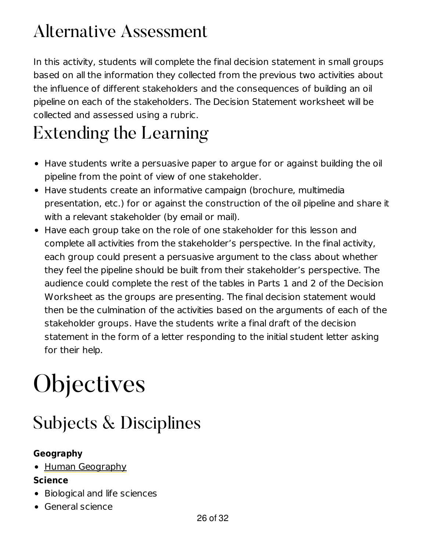#### Alternative Assessment

In this activity, students will complete the final decision statement in small groups based on all the information they collected from the previous two activities about the influence of different stakeholders and the consequences of building an oil pipeline on each of the stakeholders. The Decision Statement worksheet will be collected and assessed using a rubric.

### Extending the Learning

- Have students write a persuasive paper to argue for or against building the oil pipeline from the point of view of one stakeholder.
- Have students create an informative campaign (brochure, multimedia presentation, etc.) for or against the construction of the oil pipeline and share it with a relevant stakeholder (by email or mail).
- Have each group take on the role of one stakeholder for this lesson and complete all activities from the stakeholder's perspective. In the final activity, each group could present a persuasive argument to the class about whether they feel the pipeline should be built from their stakeholder's perspective. The audience could complete the rest of the tables in Parts 1 and 2 of the Decision Worksheet as the groups are presenting. The final decision statement would then be the culmination of the activities based on the arguments of each of the stakeholder groups. Have the students write a final draft of the decision statement in the form of a letter responding to the initial student letter asking for their help.

## **Objectives**

#### Subjects & Disciplines

#### **Geography**

• Human Geography

#### **Science**

- Biological and life sciences
- General science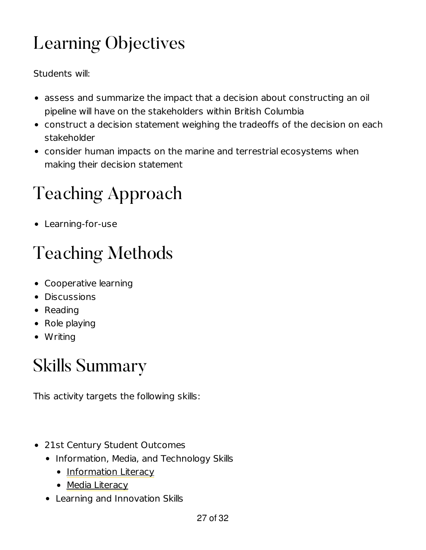### Learning Objectives

Students will:

- assess and summarize the impact that a decision about constructing an oil pipeline will have on the stakeholders within British Columbia
- construct a decision statement weighing the tradeoffs of the decision on each stakeholder
- consider human impacts on the marine and terrestrial ecosystems when making their decision statement

### Teaching Approach

Learning-for-use

### Teaching Methods

- Cooperative learning
- **•** Discussions
- Reading
- Role playing
- Writing

### Skills Summary

This activity targets the following skills:

- 21st Century Student Outcomes
	- Information, Media, and Technology Skills
		- Information Literacy
		- Media Literacy
	- Learning and Innovation Skills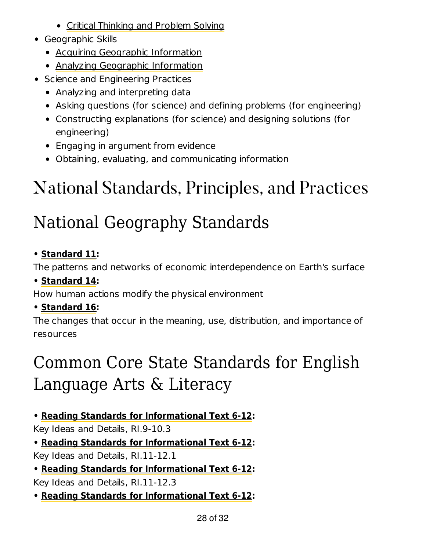- Critical Thinking and Problem Solving
- Geographic Skills
	- Acquiring Geographic Information
	- Analyzing Geographic Information
- Science and Engineering Practices
	- Analyzing and interpreting data
	- Asking questions (for science) and defining problems (for engineering)
	- Constructing explanations (for science) and designing solutions (for engineering)
	- Engaging in argument from evidence
	- Obtaining, evaluating, and communicating information

### National Standards, Principles, and Practices

### National Geography Standards

#### **• Standard 11:**

The patterns and networks of economic interdependence on Earth's surface

**• Standard 14:**

How human actions modify the physical environment

**• Standard 16:**

The changes that occur in the meaning, use, distribution, and importance of resources

### Common Core State Standards for English Language Arts & Literacy

#### **• Reading Standards for Informational Text 6-12:**

Key Ideas and Details, RI.9-10.3

**• Reading Standards for Informational Text 6-12:**

Key Ideas and Details, RI.11-12.1

**• Reading Standards for Informational Text 6-12:** Key Ideas and Details, RI.11-12.3

**• Reading Standards for Informational Text 6-12:**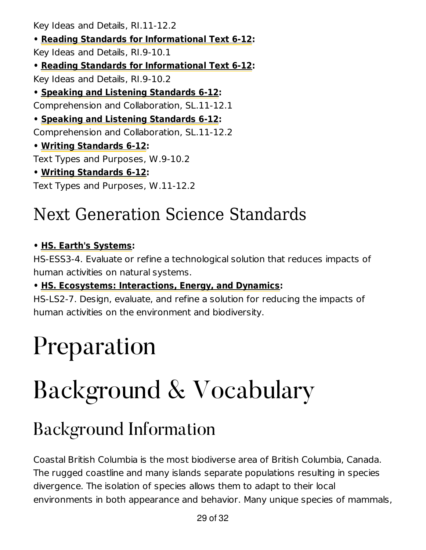Key Ideas and Details, RI.11-12.2

**• Reading Standards for Informational Text 6-12:** Key Ideas and Details, RI.9-10.1 **• Reading Standards for Informational Text 6-12:** Key Ideas and Details, RI.9-10.2 **• Speaking and Listening Standards 6-12:** Comprehension and Collaboration, SL.11-12.1 **• Speaking and Listening Standards 6-12:** Comprehension and Collaboration, SL.11-12.2 **• Writing Standards 6-12:** Text Types and Purposes, W.9-10.2 **• Writing Standards 6-12:** Text Types and Purposes, W.11-12.2

#### Next Generation Science Standards

#### **• HS. Earth's Systems:**

HS-ESS3-4. Evaluate or refine a technological solution that reduces impacts of human activities on natural systems.

#### **• HS. Ecosystems: Interactions, Energy, and Dynamics:**

HS-LS2-7. Design, evaluate, and refine a solution for reducing the impacts of human activities on the environment and biodiversity.

## Preparation

## Background & Vocabulary

#### Background Information

Coastal British Columbia is the most biodiverse area of British Columbia, Canada. The rugged coastline and many islands separate populations resulting in species divergence. The isolation of species allows them to adapt to their local environments in both appearance and behavior. Many unique species of mammals,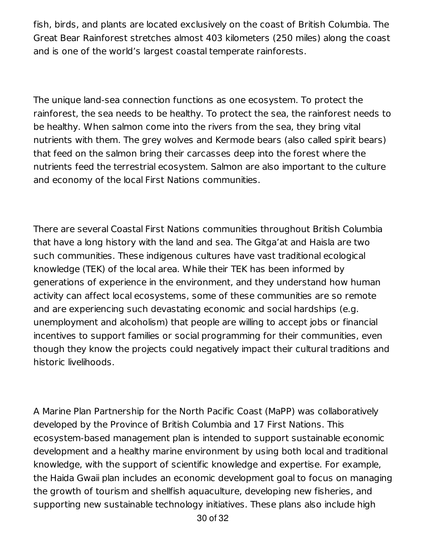fish, birds, and plants are located exclusively on the coast of British Columbia. The Great Bear Rainforest stretches almost 403 kilometers (250 miles) along the coast and is one of the world's largest coastal temperate rainforests.

The unique land-sea connection functions as one ecosystem. To protect the rainforest, the sea needs to be healthy. To protect the sea, the rainforest needs to be healthy. When salmon come into the rivers from the sea, they bring vital nutrients with them. The grey wolves and Kermode bears (also called spirit bears) that feed on the salmon bring their carcasses deep into the forest where the nutrients feed the terrestrial ecosystem. Salmon are also important to the culture and economy of the local First Nations communities.

There are several Coastal First Nations communities throughout British Columbia that have a long history with the land and sea. The Gitga'at and Haisla are two such communities. These indigenous cultures have vast traditional ecological knowledge (TEK) of the local area. While their TEK has been informed by generations of experience in the environment, and they understand how human activity can affect local ecosystems, some of these communities are so remote and are experiencing such devastating economic and social hardships (e.g. unemployment and alcoholism) that people are willing to accept jobs or financial incentives to support families or social programming for their communities, even though they know the projects could negatively impact their cultural traditions and historic livelihoods.

A Marine Plan Partnership for the North Pacific Coast (MaPP) was collaboratively developed by the Province of British Columbia and 17 First Nations. This ecosystem-based management plan is intended to support sustainable economic development and a healthy marine environment by using both local and traditional knowledge, with the support of scientific knowledge and expertise. For example, the Haida Gwaii plan includes an economic development goal to focus on managing the growth of tourism and shellfish aquaculture, developing new fisheries, and supporting new sustainable technology initiatives. These plans also include high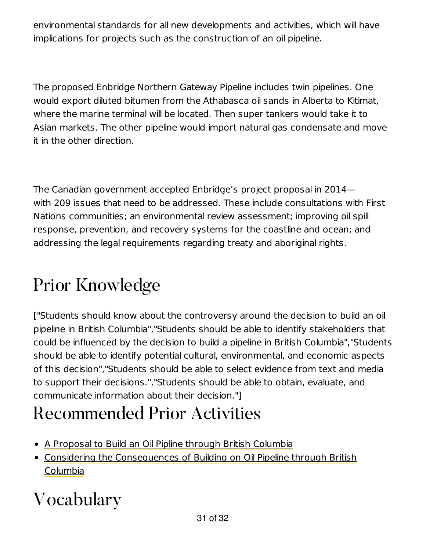environmental standards for all new developments and activities, which will have implications for projects such as the construction of an oil pipeline.

The proposed Enbridge Northern Gateway Pipeline includes twin pipelines. One would export diluted bitumen from the Athabasca oil sands in Alberta to Kitimat, where the marine terminal will be located. Then super tankers would take it to Asian markets. The other pipeline would import natural gas condensate and move it in the other direction.

The Canadian government accepted Enbridge's project proposal in 2014 with 209 issues that need to be addressed. These include consultations with First Nations communities; an environmental review assessment; improving oil spill response, prevention, and recovery systems for the coastline and ocean; and addressing the legal requirements regarding treaty and aboriginal rights.

### Prior Knowledge

["Students should know about the controversy around the decision to build an oil pipeline in British Columbia","Students should be able to identify stakeholders that could be influenced by the decision to build a pipeline in British Columbia","Students should be able to identify potential cultural, environmental, and economic aspects of this decision","Students should be able to select evidence from text and media to support their decisions.","Students should be able to obtain, evaluate, and communicate information about their decision."]

#### Recommended Prior Activities

- A Proposal to Build an Oil Pipline through British Columbia
- Considering the Consequences of Building on Oil Pipeline through British Columbia

### Vocabulary